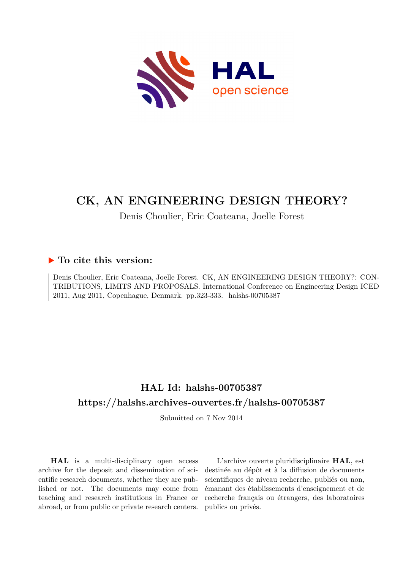

## **CK, AN ENGINEERING DESIGN THEORY?**

## Denis Choulier, Eric Coateana, Joelle Forest

## **To cite this version:**

Denis Choulier, Eric Coateana, Joelle Forest. CK, AN ENGINEERING DESIGN THEORY?: CON-TRIBUTIONS, LIMITS AND PROPOSALS. International Conference on Engineering Design ICED 2011, Aug 2011, Copenhague, Denmark. pp.323-333. halshs-00705387

## **HAL Id: halshs-00705387 <https://halshs.archives-ouvertes.fr/halshs-00705387>**

Submitted on 7 Nov 2014

**HAL** is a multi-disciplinary open access archive for the deposit and dissemination of scientific research documents, whether they are published or not. The documents may come from teaching and research institutions in France or abroad, or from public or private research centers.

L'archive ouverte pluridisciplinaire **HAL**, est destinée au dépôt et à la diffusion de documents scientifiques de niveau recherche, publiés ou non, émanant des établissements d'enseignement et de recherche français ou étrangers, des laboratoires publics ou privés.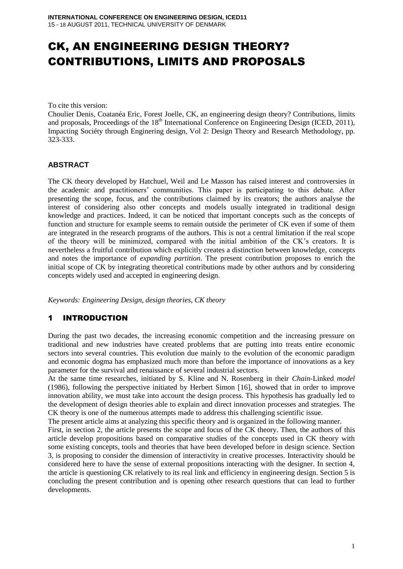# CK, AN ENGINEERING DESIGN THEORY? CONTRIBUTIONS, LIMITS AND PROPOSALS

To cite this version:

Choulier Denis, Coatanéa Eric, Forest Joelle, CK, an engineering design theory? Contributions, limits and proposals, Proceedings of the 18<sup>th</sup> International Conference on Engineering Design (ICED, 2011), Impacting Sociéty through Enginering design, Vol 2: Design Theory and Research Methodology, pp. 323-333.

#### **ABSTRACT**

The CK theory developed by Hatchuel, Weil and Le Masson has raised interest and controversies in the academic and practitioners' communities. This paper is participating to this debate. After presenting the scope, focus, and the contributions claimed by its creators; the authors analyse the interest of considering also other concepts and models usually integrated in traditional design knowledge and practices. Indeed, it can be noticed that important concepts such as the concepts of function and structure for example seems to remain outside the perimeter of CK even if some of them are integrated in the research programs of the authors. This is not a central limitation if the real scope of the theory will be minimized, compared with the initial ambition of the CK's creators. It is nevertheless a fruitful contribution which explicitly creates a distinction between knowledge, concepts and notes the importance of *expanding partition*. The present contribution proposes to enrich the initial scope of CK by integrating theoretical contributions made by other authors and by considering concepts widely used and accepted in engineering design.

*Keywords: Engineering Design, design theories, CK theory* 

## 1 INTRODUCTION

During the past two decades, the increasing economic competition and the increasing pressure on traditional and new industries have created problems that are putting into treats entire economic sectors into several countries. This evolution due mainly to the evolution of the economic paradigm and economic dogma has emphasized much more than before the importance of innovations as a key parameter for the survival and renaissance of several industrial sectors.

At the same time researches, initiated by S. Kline and N. Rosenberg in their *Chain-*Linked *model*  (1986), following the perspective initiated by Herbert Simon [\[16\]](#page-10-0), showed that in order to improve innovation ability, we must take into account the design process. This hypothesis has gradually led to the development of design theories able to explain and direct innovation processes and strategies. The CK theory is one of the numerous attempts made to address this challenging scientific issue.

The present article aims at analyzing this specific theory and is organized in the following manner.

First, in section 2, the article presents the scope and focus of the CK theory. Then, the authors of this article develop propositions based on comparative studies of the concepts used in CK theory with some existing concepts, tools and theories that have been developed before in design science. Section 3, is proposing to consider the dimension of interactivity in creative processes. Interactivity should be considered here to have the sense of external propositions interacting with the designer. In section 4, the article is questioning CK relatively to its real link and efficiency in engineering design. Section 5 is concluding the present contribution and is opening other research questions that can lead to further developments.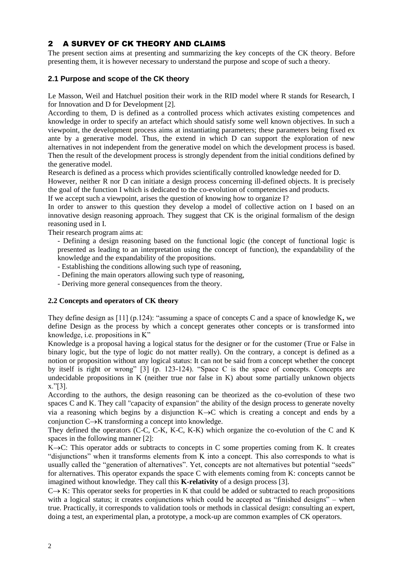### 2 A SURVEY OF CK THEORY AND CLAIMS

The present section aims at presenting and summarizing the key concepts of the CK theory. Before presenting them, it is however necessary to understand the purpose and scope of such a theory.

#### **2.1 Purpose and scope of the CK theory**

Le Masson, Weil and Hatchuel position their work in the RID model where R stands for Research, I for Innovation and D for Development [2].

According to them, D is defined as a controlled process which activates existing competences and knowledge in order to specify an artefact which should satisfy some well known objectives. In such a viewpoint, the development process aims at instantiating parameters; these parameters being fixed ex ante by a generative model. Thus, the extend in which D can support the exploration of new alternatives in not independent from the generative model on which the development process is based. Then the result of the development process is strongly dependent from the initial conditions defined by the generative model.

Research is defined as a process which provides scientifically controlled knowledge needed for D.

However, neither R nor D can initiate a design process concerning ill-defined objects. It is precisely the goal of the function I which is dedicated to the co-evolution of competencies and products.

If we accept such a viewpoint, arises the question of knowing how to organize I?

In order to answer to this question they develop a model of collective action on I based on an innovative design reasoning approach. They suggest that CK is the original formalism of the design reasoning used in I.

Their research program aims at:

- Defining a design reasoning based on the functional logic (the concept of functional logic is presented as leading to an interpretation using the concept of function), the expandability of the knowledge and the expandability of the propositions.
- Establishing the conditions allowing such type of reasoning,
- Defining the main operators allowing such type of reasoning,
- Deriving more general consequences from the theory.

#### **2.2 Concepts and operators of CK theory**

They define design as [11] (p.124): "assuming a space of concepts C and a space of knowledge K**,** we define Design as the process by which a concept generates other concepts or is transformed into knowledge, i.e. propositions in K"

Knowledge is a proposal having a logical status for the designer or for the customer (True or False in binary logic, but the type of logic do not matter really). On the contrary, a concept is defined as a notion or proposition without any logical status: It can not be said from a concept whether the concept by itself is right or wrong" [3] (p. 123-124). "Space C is the space of concepts. Concepts are undecidable propositions in K (neither true nor false in K) about some partially unknown objects x."[3].

According to the authors, the design reasoning can be theorized as the co-evolution of these two spaces C and K. They call "capacity of expansion" the ability of the design process to generate novelty via a reasoning which begins by a disjunction  $K\rightarrow C$  which is creating a concept and ends by a conjunction  $C \rightarrow K$  transforming a concept into knowledge.

They defined the operators (C-C, C-K, K-C, K-K) which organize the co-evolution of the C and K spaces in the following manner [2]:

 $K\rightarrow C$ : This operator adds or subtracts to concepts in C some properties coming from K. It creates "disjunctions" when it transforms elements from K into a concept. This also corresponds to what is usually called the "generation of alternatives". Yet, concepts are not alternatives but potential "seeds" for alternatives. This operator expands the space C with elements coming from K: concepts cannot be imagined without knowledge. They call this **K-relativity** of a design process [3].

 $C \rightarrow K$ : This operator seeks for properties in K that could be added or subtracted to reach propositions with a logical status; it creates conjunctions which could be accepted as "finished designs" – when true. Practically, it corresponds to validation tools or methods in classical design: consulting an expert, doing a test, an experimental plan, a prototype, a mock-up are common examples of CK operators.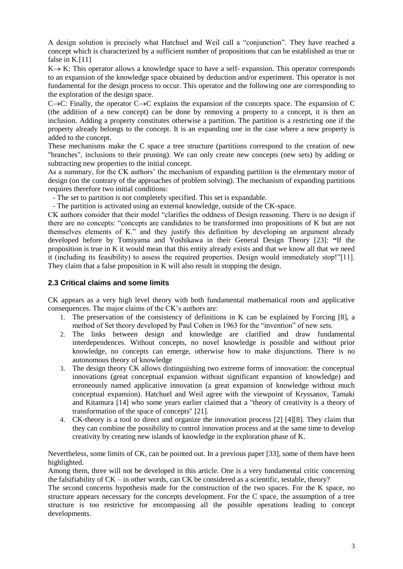A design solution is precisely what Hatchuel and Weil call a "conjunction". They have reached a concept which is characterized by a sufficient number of propositions that can be established as true or false in K.[11]

 $K \rightarrow K$ : This operator allows a knowledge space to have a self- expansion. This operator corresponds to an expansion of the knowledge space obtained by deduction and/or experiment. This operator is not fundamental for the design process to occur. This operator and the following one are corresponding to the exploration of the design space.

 $C\rightarrow C$ : Finally, the operator  $C\rightarrow C$  explains the expansion of the concepts space. The expansion of C (the addition of a new concept) can be done by removing a property to a concept, it is then an inclusion. Adding a property constitutes otherwise a partition. The partition is a restricting one if the property already belongs to the concept. It is an expanding one in the case where a new property is added to the concept.

These mechanisms make the C space a tree structure (partitions correspond to the creation of new "branches", inclusions to their pruning). We can only create new concepts (new sets) by adding or subtracting new properties to the initial concept.

As a summary, for the CK authors' the mechanism of expanding partition is the elementary motor of design (on the contrary of the approaches of problem solving). The mechanism of expanding partitions requires therefore two initial conditions:

- The set to partition is not completely specified. This set is expandable.

- The partition is activated using an external knowledge, outside of the CK-space.

CK authors consider that their model "clarifies the oddness of Design reasoning. There is no design if there are no concepts: "concepts are candidates to be transformed into propositions of K but are not themselves elements of K." and they justify this definition by developing an argument already developed before by Tomiyama and Yoshikawa in their General Design Theory [23]: **"**If the proposition is true in K it would mean that this entity already exists and that we know all that we need it (including its feasibility) to assess the required properties. Design would immediately stop!"[11]. They claim that a false proposition in K will also result in stopping the design.

#### **2.3 Critical claims and some limits**

CK appears as a very high level theory with both fundamental mathematical roots and applicative consequences. The major claims of the CK's authors are:

- 1. The preservation of the consistency of definitions in K can be explained by Forcing [8], a method of Set theory developed by Paul Cohen in 1963 for the "invention" of new sets.
- <span id="page-3-0"></span>2. The links between design and knowledge are clarified and draw fundamental interdependences. Without concepts, no novel knowledge is possible and without prior knowledge, no concepts can emerge, otherwise how to make disjunctions. There is no autonomous theory of knowledge
- 3. The design theory CK allows distinguishing two extreme forms of innovation: the conceptual innovations (great conceptual expansion without significant expansion of knowledge) and erroneously named applicative innovation (a great expansion of knowledge without much conceptual expansion). Hatchuel and Weil agree with the viewpoint of Kryssanov, Tamaki and Kitamura [14] who some years earlier claimed that a "theory of creativity is a theory of transformation of the space of concepts" [21].
- 4. CK-theory is a tool to direct and organize the innovation process [2] [4][8]. They claim that they can combine the possibility to control innovation process and at the same time to develop creativity by creating new islands of knowledge in the exploration phase of K.

Nevertheless, some limits of CK, can be pointed out. In a previous paper [33], some of them have been highlighted.

Among them, three will not be developed in this article. One is a very fundamental critic concerning the falsifiability of  $CK -$  in other words, can CK be considered as a scientific, testable, theory?

The second concerns hypothesis made for the construction of the two spaces. For the K space, no structure appears necessary for the concepts development. For the C space, the assumption of a tree structure is too restrictive for encompassing all the possible operations leading to concept developments.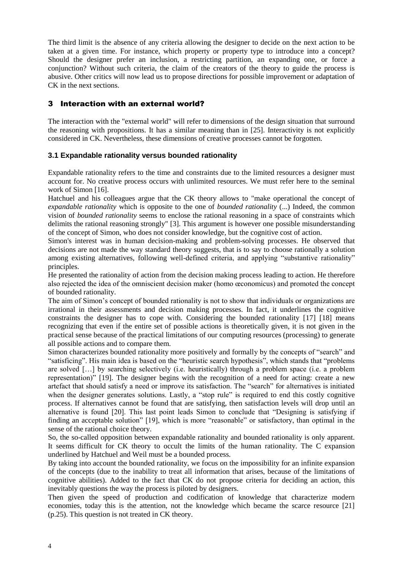The third limit is the absence of any criteria allowing the designer to decide on the next action to be taken at a given time. For instance, which property or property type to introduce into a concept? Should the designer prefer an inclusion, a restricting partition, an expanding one, or force a conjunction? Without such criteria, the claim of the creators of the theory to guide the process is abusive. Other critics will now lead us to propose directions for possible improvement or adaptation of CK in the next sections.

#### 3 Interaction with an external world?

The interaction with the "external world" will refer to dimensions of the design situation that surround the reasoning with propositions. It has a similar meaning than in [25]. Interactivity is not explicitly considered in CK. Nevertheless, these dimensions of creative processes cannot be forgotten.

#### **3.1 Expandable rationality versus bounded rationality**

Expandable rationality refers to the time and constraints due to the limited resources a designer must account for. No creative process occurs with unlimited resources. We must refer here to the seminal work of Simon [\[16\]](#page-10-0).

Hatchuel and his colleagues argue that the CK theory allows to "make operational the concept of *expandable rationality* which is opposite to the one of *bounded rationality* (...) Indeed, the common vision of *bounded rationality* seems to enclose the rational reasoning in a space of constraints which delimits the rational reasoning strongly" [3]. This argument is however one possible misunderstanding of the concept of Simon, who does not consider knowledge, but the cognitive cost of action.

Simon's interest was in human decision-making and problem-solving processes. He observed that decisions are not made the way standard theory suggests, that is to say to choose rationally a solution among existing alternatives, following well-defined criteria, and applying "substantive rationality" principles.

He presented the rationality of action from the decision making process leading to action. He therefore also rejected the idea of the omniscient decision maker (homo œconomicus) and promoted the concept of bounded rationality.

The aim of Simon's concept of bounded rationality is not to show that individuals or organizations are irrational in their assessments and decision making processes. In fact, it underlines the cognitive constraints the designer has to cope with. Considering the bounded rationality [17] [18] means recognizing that even if the entire set of possible actions is theoretically given, it is not given in the practical sense because of the practical limitations of our computing resources (processing) to generate all possible actions and to compare them.

Simon characterizes bounded rationality more positively and formally by the concepts of "search" and "satisficing". His main idea is based on the "heuristic search hypothesis", which stands that "problems are solved […] by searching selectively (i.e. heuristically) through a problem space (i.e. a problem representation)" [19]. The designer begins with the recognition of a need for acting: create a new artefact that should satisfy a need or improve its satisfaction. The "search" for alternatives is initiated when the designer generates solutions. Lastly, a "stop rule" is required to end this costly cognitive process. If alternatives cannot be found that are satisfying, then satisfaction levels will drop until an alternative is found [20]. This last point leads Simon to conclude that "Designing is satisfying if finding an acceptable solution" [19], which is more "reasonable" or satisfactory, than optimal in the sense of the rational choice theory.

So, the so-called opposition between expandable rationality and bounded rationality is only apparent. It seems difficult for CK theory to occult the limits of the human rationality. The C expansion underlined by Hatchuel and Weil must be a bounded process.

By taking into account the bounded rationality, we focus on the impossibility for an infinite expansion of the concepts (due to the inability to treat all information that arises, because of the limitations of cognitive abilities). Added to the fact that CK do not propose criteria for deciding an action, this inevitably questions the way the process is piloted by designers.

Then given the speed of production and codification of knowledge that characterize modern economies, today this is the attention, not the knowledge which became the scarce resource [21] (p.25). This question is not treated in CK theory.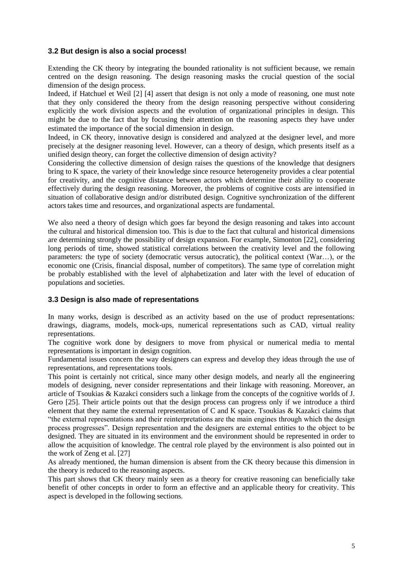#### **3.2 But design is also a social process!**

Extending the CK theory by integrating the bounded rationality is not sufficient because, we remain centred on the design reasoning. The design reasoning masks the crucial question of the social dimension of the design process.

Indeed, if Hatchuel et Weil [2] [4] assert that design is not only a mode of reasoning, one must note that they only considered the theory from the design reasoning perspective without considering explicitly the work division aspects and the evolution of organizational principles in design. This might be due to the fact that by focusing their attention on the reasoning aspects they have under estimated the importance of the social dimension in design.

Indeed, in CK theory, innovative design is considered and analyzed at the designer level, and more precisely at the designer reasoning level. However, can a theory of design, which presents itself as a unified design theory, can forget the collective dimension of design activity?

Considering the collective dimension of design raises the questions of the knowledge that designers bring to K space, the variety of their knowledge since resource heterogeneity provides a clear potential for creativity, and the cognitive distance between actors which determine their ability to cooperate effectively during the design reasoning. Moreover, the problems of cognitive costs are intensified in situation of collaborative design and/or distributed design. Cognitive synchronization of the different actors takes time and resources, and organizational aspects are fundamental.

We also need a theory of design which goes far beyond the design reasoning and takes into account the cultural and historical dimension too. This is due to the fact that cultural and historical dimensions are determining strongly the possibility of design expansion. For example, Simonton [22], considering long periods of time, showed statistical correlations between the creativity level and the following parameters: the type of society (democratic versus autocratic), the political context (War…), or the economic one (Crisis, financial disposal, number of competitors). The same type of correlation might be probably established with the level of alphabetization and later with the level of education of populations and societies.

#### **3.3 Design is also made of representations**

In many works, design is described as an activity based on the use of product representations: drawings, diagrams, models, mock-ups, numerical representations such as CAD, virtual reality representations.

The cognitive work done by designers to move from physical or numerical media to mental representations is important in design cognition.

Fundamental issues concern the way designers can express and develop they ideas through the use of representations, and representations tools.

This point is certainly not critical, since many other design models, and nearly all the engineering models of designing, never consider representations and their linkage with reasoning. Moreover, an article of Tsoukias & Kazakci considers such a linkage from the concepts of the cognitive worlds of J. Gero [25]. Their article points out that the design process can progress only if we introduce a third element that they name the external representation of C and K space. Tsoukias & Kazakci claims that "the external representations and their reinterpretations are the main engines through which the design process progresses". Design representation and the designers are external entities to the object to be designed. They are situated in its environment and the environment should be represented in order to allow the acquisition of knowledge. The central role played by the environment is also pointed out in the work of Zeng et al. [\[27\]](#page-11-0)

As already mentioned, the human dimension is absent from the CK theory because this dimension in the theory is reduced to the reasoning aspects.

This part shows that CK theory mainly seen as a theory for creative reasoning can beneficially take benefit of other concepts in order to form an effective and an applicable theory for creativity. This aspect is developed in the following sections.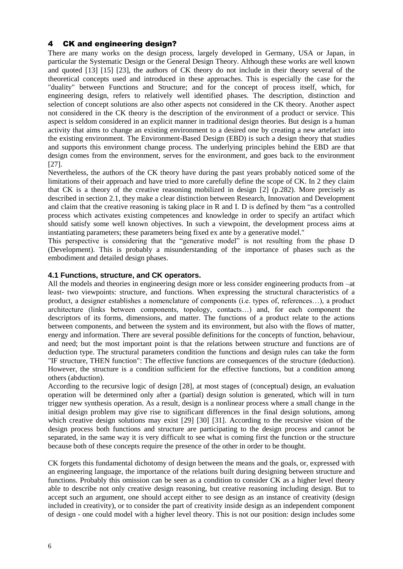#### 4 CK and engineering design?

There are many works on the design process, largely developed in Germany, USA or Japan, in particular the Systematic Design or the General Design Theory. Although these works are well known and quoted [\[13\]](#page-10-1) [15] [23], the authors of CK theory do not include in their theory several of the theoretical concepts used and introduced in these approaches. This is especially the case for the "duality" between Functions and Structure; and for the concept of process itself, which, for engineering design, refers to relatively well identified phases. The description, distinction and selection of concept solutions are also other aspects not considered in the CK theory. Another aspect not considered in the CK theory is the description of the environment of a product or service. This aspect is seldom considered in an explicit manner in traditional design theories. But design is a human activity that aims to change an existing environment to a desired one by creating a new artefact into the existing environment. The Environment-Based Design (EBD) is such a design theory that studies and supports this environment change process. The underlying principles behind the EBD are that design comes from the environment, serves for the environment, and goes back to the environment [\[27\]](#page-11-0).

Nevertheless, the authors of the CK theory have during the past years probably noticed some of the limitations of their approach and have tried to more carefully define the scope of CK. In 2 they claim that CK is a theory of the creative reasoning mobilized in design [\[2\]](#page-3-0) (p.282). More precisely as described in section 2.1, they make a clear distinction between Research, Innovation and Development and claim that the creative reasoning is taking place in R and I. D is defined by them "as a controlled process which activates existing competences and knowledge in order to specify an artifact which should satisfy some well known objectives. In such a viewpoint, the development process aims at instantiating parameters; these parameters being fixed ex ante by a generative model."

This perspective is considering that the "generative model" is not resulting from the phase D (Development). This is probably a misunderstanding of the importance of phases such as the embodiment and detailed design phases.

#### **4.1 Functions, structure, and CK operators.**

All the models and theories in engineering design more or less consider engineering products from –at least- two viewpoints: structure, and functions. When expressing the structural characteristics of a product, a designer establishes a nomenclature of components (i.e. types of, references…), a product architecture (links between components, topology, contacts…) and, for each component the descriptors of its forms, dimensions, and matter. The functions of a product relate to the actions between components, and between the system and its environment, but also with the flows of matter, energy and information. There are several possible definitions for the concepts of function, behaviour, and need; but the most important point is that the relations between structure and functions are of deduction type. The structural parameters condition the functions and design rules can take the form "IF structure, THEN function": The effective functions are consequences of the structure (deduction). However, the structure is a condition sufficient for the effective functions, but a condition among others (abduction).

According to the recursive logic of design [\[28\]](#page-11-1), at most stages of (conceptual) design, an evaluation operation will be determined only after a (partial) design solution is generated, which will in turn trigger new synthesis operation. As a result, design is a nonlinear process where a small change in the initial design problem may give rise to significant differences in the final design solutions, among which creative design solutions may exist [\[29\]](#page-11-2) [\[30\]](#page-11-3) [\[31\]](#page-11-4). According to the recursive vision of the design process both functions and structure are participating to the design process and cannot be separated, in the same way it is very difficult to see what is coming first the function or the structure because both of these concepts require the presence of the other in order to be thought.

CK forgets this fundamental dichotomy of design between the means and the goals, or, expressed with an engineering language, the importance of the relations built during designing between structure and functions. Probably this omission can be seen as a condition to consider CK as a higher level theory able to describe not only creative design reasoning, but creative reasoning including design. But to accept such an argument, one should accept either to see design as an instance of creativity (design included in creativity), or to consider the part of creativity inside design as an independent component of design - one could model with a higher level theory. This is not our position: design includes some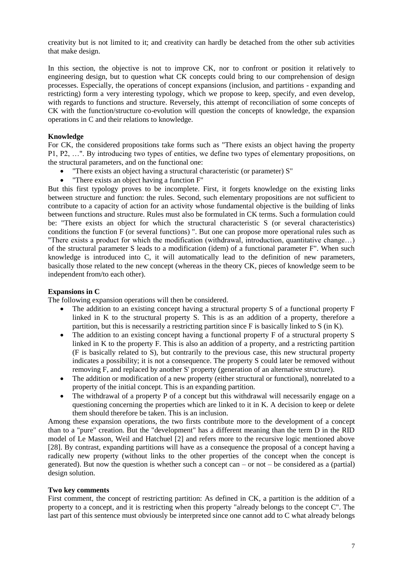creativity but is not limited to it; and creativity can hardly be detached from the other sub activities that make design.

In this section, the objective is not to improve CK, nor to confront or position it relatively to engineering design, but to question what CK concepts could bring to our comprehension of design processes. Especially, the operations of concept expansions (inclusion, and partitions - expanding and restricting) form a very interesting typology, which we propose to keep, specify, and even develop, with regards to functions and structure. Reversely, this attempt of reconciliation of some concepts of CK with the function/structure co-evolution will question the concepts of knowledge, the expansion operations in C and their relations to knowledge.

#### **Knowledge**

For CK, the considered propositions take forms such as "There exists an object having the property P1, P2, …". By introducing two types of entities, we define two types of elementary propositions, on the structural parameters, and on the functional one:

- "There exists an object having a structural characteristic (or parameter) S"
- "There exists an object having a function F"

But this first typology proves to be incomplete. First, it forgets knowledge on the existing links between structure and function: the rules. Second, such elementary propositions are not sufficient to contribute to a capacity of action for an activity whose fundamental objective is the building of links between functions and structure. Rules must also be formulated in CK terms. Such a formulation could be: "There exists an object for which the structural characteristic S (or several characteristics) conditions the function F (or several functions) ". But one can propose more operational rules such as "There exists a product for which the modification (withdrawal, introduction, quantitative change…) of the structural parameter S leads to a modification (idem) of a functional parameter F". When such knowledge is introduced into C, it will automatically lead to the definition of new parameters, basically those related to the new concept (whereas in the theory CK, pieces of knowledge seem to be independent from/to each other).

#### **Expansions in C**

The following expansion operations will then be considered.

- The addition to an existing concept having a structural property S of a functional property F linked in K to the structural property S. This is as an addition of a property, therefore a partition, but this is necessarily a restricting partition since F is basically linked to S (in K).
- The addition to an existing concept having a functional property F of a structural property S linked in K to the property F. This is also an addition of a property, and a restricting partition (F is basically related to S), but contrarily to the previous case, this new structural property indicates a possibility; it is not a consequence. The property S could later be removed without removing F, and replaced by another S' property (generation of an alternative structure).
- The addition or modification of a new property (either structural or functional), nonrelated to a property of the initial concept. This is an expanding partition.
- The withdrawal of a property P of a concept but this withdrawal will necessarily engage on a questioning concerning the properties which are linked to it in  $K$ . A decision to keep or delete them should therefore be taken. This is an inclusion.

Among these expansion operations, the two firsts contribute more to the development of a concept than to a "pure" creation. But the "development" has a different meaning than the term D in the RID model of Le Masson, Weil and Hatchuel [2] and refers more to the recursive logic mentioned above [28]. By contrast, expanding partitions will have as a consequence the proposal of a concept having a radically new property (without links to the other properties of the concept when the concept is generated). But now the question is whether such a concept can – or not – be considered as a (partial) design solution.

#### **Two key comments**

First comment, the concept of restricting partition: As defined in CK, a partition is the addition of a property to a concept, and it is restricting when this property "already belongs to the concept C". The last part of this sentence must obviously be interpreted since one cannot add to C what already belongs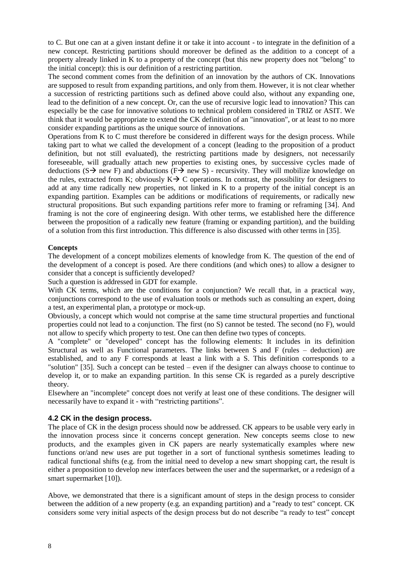to C. But one can at a given instant define it or take it into account - to integrate in the definition of a new concept. Restricting partitions should moreover be defined as the addition to a concept of a property already linked in K to a property of the concept (but this new property does not "belong" to the initial concept): this is our definition of a restricting partition.

The second comment comes from the definition of an innovation by the authors of CK. Innovations are supposed to result from expanding partitions, and only from them. However, it is not clear whether a succession of restricting partitions such as defined above could also, without any expanding one, lead to the definition of a new concept. Or, can the use of recursive logic lead to innovation? This can especially be the case for innovative solutions to technical problem considered in TRIZ or ASIT. We think that it would be appropriate to extend the CK definition of an "innovation", or at least to no more consider expanding partitions as the unique source of innovations.

Operations from K to C must therefore be considered in different ways for the design process. While taking part to what we called the development of a concept (leading to the proposition of a product definition, but not still evaluated), the restricting partitions made by designers, not necessarily foreseeable, will gradually attach new properties to existing ones, by successive cycles made of deductions ( $S \rightarrow new F$ ) and abductions ( $F \rightarrow new S$ ) - recursivity. They will mobilize knowledge on the rules, extracted from K; obviously  $K \rightarrow C$  operations. In contrast, the possibility for designers to add at any time radically new properties, not linked in K to a property of the initial concept is an expanding partition. Examples can be additions or modifications of requirements, or radically new structural propositions. But such expanding partitions refer more to framing or reframing [34]. And framing is not the core of engineering design. With other terms, we established here the difference between the proposition of a radically new feature (framing or expanding partition), and the building of a solution from this first introduction. This difference is also discussed with other terms in [35].

#### **Concepts**

The development of a concept mobilizes elements of knowledge from K. The question of the end of the development of a concept is posed. Are there conditions (and which ones) to allow a designer to consider that a concept is sufficiently developed?

Such a question is addressed in GDT for example.

With CK terms, which are the conditions for a conjunction? We recall that, in a practical way, conjunctions correspond to the use of evaluation tools or methods such as consulting an expert, doing a test, an experimental plan, a prototype or mock-up.

Obviously, a concept which would not comprise at the same time structural properties and functional properties could not lead to a conjunction. The first (no S) cannot be tested. The second (no F), would not allow to specify which property to test. One can then define two types of concepts.

A "complete" or "developed" concept has the following elements: It includes in its definition Structural as well as Functional parameters. The links between S and F (rules – deduction) are established, and to any F corresponds at least a link with a S. This definition corresponds to a "solution" [35]. Such a concept can be tested – even if the designer can always choose to continue to develop it, or to make an expanding partition. In this sense CK is regarded as a purely descriptive theory.

Elsewhere an "incomplete" concept does not verify at least one of these conditions. The designer will necessarily have to expand it - with "restricting partitions".

#### **4.2 CK in the design process.**

The place of CK in the design process should now be addressed. CK appears to be usable very early in the innovation process since it concerns concept generation. New concepts seems close to new products, and the examples given in CK papers are nearly systematically examples where new functions or/and new uses are put together in a sort of functional synthesis sometimes leading to radical functional shifts (e.g. from the initial need to develop a new smart shopping cart, the result is either a proposition to develop new interfaces between the user and the supermarket, or a redesign of a smart supermarket [10]).

Above, we demonstrated that there is a significant amount of steps in the design process to consider between the addition of a new property (e.g. an expanding partition) and a "ready to test" concept. CK considers some very initial aspects of the design process but do not describe "a ready to test" concept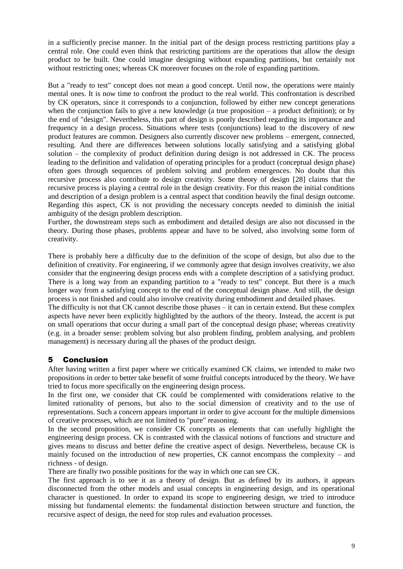in a sufficiently precise manner. In the initial part of the design process restricting partitions play a central role. One could even think that restricting partitions are the operations that allow the design product to be built. One could imagine designing without expanding partitions, but certainly not without restricting ones; whereas CK moreover focuses on the role of expanding partitions.

But a "ready to test" concept does not mean a good concept. Until now, the operations were mainly mental ones. It is now time to confront the product to the real world. This confrontation is described by CK operators, since it corresponds to a conjunction, followed by either new concept generations when the conjunction fails to give a new knowledge (a true proposition  $-$  a product definition); or by the end of "design". Nevertheless, this part of design is poorly described regarding its importance and frequency in a design process. Situations where tests (conjunctions) lead to the discovery of new product features are common. Designers also currently discover new problems – emergent, connected, resulting. And there are differences between solutions locally satisfying and a satisfying global solution – the complexity of product definition during design is not addressed in CK. The process leading to the definition and validation of operating principles for a product (conceptual design phase) often goes through sequences of problem solving and problem emergences. No doubt that this recursive process also contribute to design creativity. Some theory of design [\[28\]](#page-11-1) claims that the recursive process is playing a central role in the design creativity. For this reason the initial conditions and description of a design problem is a central aspect that condition heavily the final design outcome. Regarding this aspect, CK is not providing the necessary concepts needed to diminish the initial ambiguity of the design problem description.

Further, the downstream steps such as embodiment and detailed design are also not discussed in the theory. During those phases, problems appear and have to be solved, also involving some form of creativity.

There is probably here a difficulty due to the definition of the scope of design, but also due to the definition of creativity. For engineering, if we commonly agree that design involves creativity, we also consider that the engineering design process ends with a complete description of a satisfying product. There is a long way from an expanding partition to a "ready to test" concept. But there is a much longer way from a satisfying concept to the end of the conceptual design phase. And still, the design process is not finished and could also involve creativity during embodiment and detailed phases.

The difficulty is not that CK cannot describe those phases – it can in certain extend. But these complex aspects have never been explicitly highlighted by the authors of the theory. Instead, the accent is put on small operations that occur during a small part of the conceptual design phase; whereas creativity (e.g. in a broader sense: problem solving but also problem finding, problem analysing, and problem management) is necessary during all the phases of the product design.

### 5 Conclusion

After having written a first paper where we critically examined CK claims, we intended to make two propositions in order to better take benefit of some fruitful concepts introduced by the theory. We have tried to focus more specifically on the engineering design process.

In the first one, we consider that CK could be complemented with considerations relative to the limited rationality of persons, but also to the social dimension of creativity and to the use of representations. Such a concern appears important in order to give account for the multiple dimensions of creative processes, which are not limited to "pure" reasoning.

In the second proposition, we consider CK concepts as elements that can usefully highlight the engineering design process. CK is contrasted with the classical notions of functions and structure and gives means to discuss and better define the creative aspect of design. Nevertheless, because CK is mainly focused on the introduction of new properties, CK cannot encompass the complexity – and richness - of design.

There are finally two possible positions for the way in which one can see CK.

The first approach is to see it as a theory of design. But as defined by its authors, it appears disconnected from the other models and usual concepts in engineering design, and its operational character is questioned. In order to expand its scope to engineering design, we tried to introduce missing but fundamental elements: the fundamental distinction between structure and function, the recursive aspect of design, the need for stop rules and evaluation processes.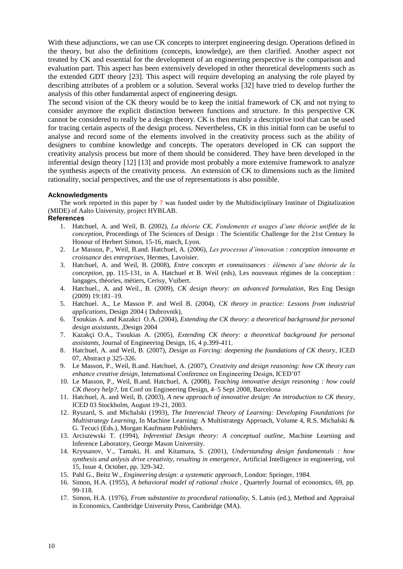With these adjunctions, we can use CK concepts to interpret engineering design. Operations defined in the theory, but also the definitions (concepts, knowledge), are then clarified. Another aspect not treated by CK and essential for the development of an engineering perspective is the comparison and evaluation part. This aspect has been extensively developed in other theoretical developments such as the extended GDT theory [23]. This aspect will require developing an analysing the role played by describing attributes of a problem or a solution. Several works [\[32\]](#page-11-5) have tried to develop further the analysis of this other fundamental aspect of engineering design.

The second vision of the CK theory would be to keep the initial framework of CK and not trying to consider anymore the explicit distinction between functions and structure. In this perspective CK cannot be considered to really be a design theory. CK is then mainly a descriptive tool that can be used for tracing certain aspects of the design process. Nevertheless, CK in this initial form can be useful to analyse and record some of the elements involved in the creativity process such as the ability of designers to combine knowledge and concepts. The operators developed in CK can support the creativity analysis process but more of them should be considered. They have been developed in the inferential design theory [\[12\]](#page-10-2) [\[13\]](#page-10-1) and provide most probably a more extensive framework to analyze the synthesis aspects of the creativity process. An extension of CK to dimensions such as the limited rationality, social perspectives, and the use of representations is also possible.

#### **Acknowledgments**

The work reported in this paper by ? was funded under by the Multidisciplinary Institute of Digitalization (MIDE) of Aalto University, project HYBLAB.

#### **References**

- 1. Hatchuel, A. and Weil, B. (2002), *La théorie CK, Fondements et usages d'une théorie unifiée de la conception*, Proceedings of The Sciences of Design : The Scientific Challenge for the 21st Century In Honour of Herbert Simon, 15-16, march, Lyon.
- 2. Le Masson, P., Weil, B.and. Hatchuel, A. (2006), *Les processus d'innovation : conception innovante et croissance des entreprises*, Hermes, Lavoisier.
- 3. Hatchuel, A. and Weil, B. (2008), *Entre concepts et connaissances : éléments d'une théorie de la conception*, pp. 115-131, in A. Hatchuel et B. Weil (eds), Les nouveaux régimes de la conception : langages, théories, métiers, Cerisy, Vuibert.
- 4. Hatchuel., A. and Weil., B. (2009), *CK design theory: an advanced formulation*, Res Eng Design (2009) 19:181–19.
- 5. Hatchuel. A., Le Masson P. and Weil B. (2004), *CK theory in practice: Lessons from industrial applications*, Design 2004 ( Dubrovnik),
- 6. Tsoukias A. and Kazakci O.A. (2004), *Extending the CK theory: a theoretical background for personal design assistants*, ,Design 2004
- 7. Kazakçi O.A., Tsoukias A. (2005), *Extending CK theory: a theoretical background for personal assistants*, Journal of Engineering Design, 16, 4 p.399-411.
- 8. Hatchuel, A. and Weil, B. (2007), *Design as Forcing: deepening the foundations of CK theory*, ICED 07, Abstract p 325-326.
- 9. Le Masson, P., Weil, B.and. Hatchuel, A. (2007), *Creativity and design reasoning: how CK theory can enhance creative design*, International Conference on Engineering Design, ICED'07
- 10. Le Masson, P., Weil, B.and. Hatchuel, A. (2008), *Teaching innovative design reasoning : how could CK theory help?,* Int Conf on Engineering Design, 4–5 Sept 2008, Barcelona
- 11. Hatchuel, A. and Weil, B. (2003), *A new approach of innovative design: An introduction to CK theory*, ICED 03 Stockholm, August 19-21, 2003.
- <span id="page-10-2"></span>12. Ryszard, S. and Michalski (1993), *The Interencial Theory of Learning: Developing Foundations for Multistrategy Learning*, In Machine Learning: A Multistrategy Approach, Volume 4, R.S. Michalski & G. Tecuci (Eds.), Morgan Kaufmann Publishers.
- <span id="page-10-1"></span>13. Arciszewski T. (1994), *Inferential Design theory: A conceptual outline*, Machine Learning and Inference Laboratory, George Mason University.
- 14. Kryssanov, V., Tamaki, H. and Kitamura, S. (2001), *Understanding design fundamentals : how synthesis and anlysis drive creativity, resulting in emergence*, Artificial Intelligence in engineering, vol 15, Issue 4, October, pp. 329-342.
- 15. Pahl G., Beitz W., *Engineering design: a systematic approach*, London: Springer, 1984.
- <span id="page-10-0"></span>16. Simon, H.A. (1955), *A behavioral model of rational choice* , Quarterly Journal of economics, 69, pp. 99-118.
- 17. Simon, H.A. (1976), *From substantive to procedural rationality*, S. Latsis (ed.), Method and Appraisal in Economics, Cambridge University Press, Cambridge (MA).